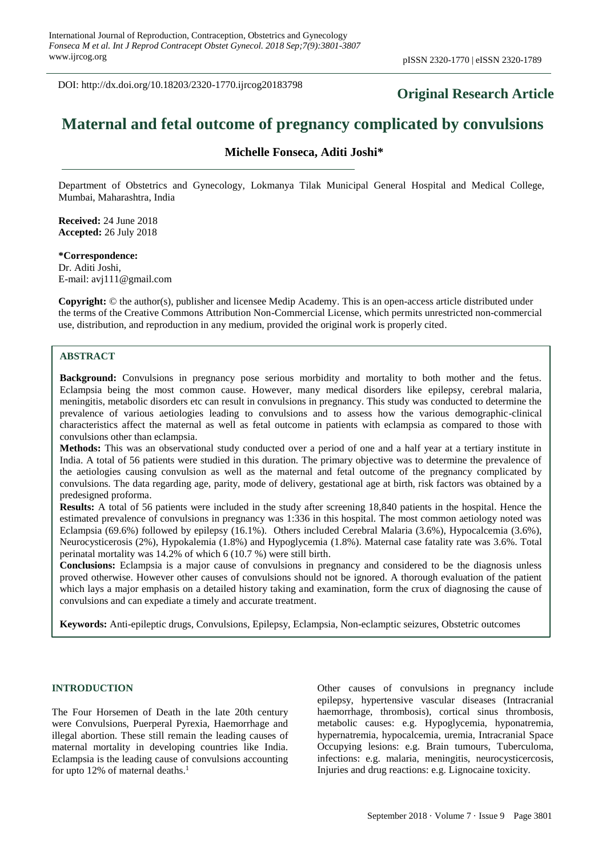DOI: http://dx.doi.org/10.18203/2320-1770.ijrcog20183798

# **Original Research Article**

# **Maternal and fetal outcome of pregnancy complicated by convulsions**

# **Michelle Fonseca, Aditi Joshi\***

Department of Obstetrics and Gynecology, Lokmanya Tilak Municipal General Hospital and Medical College, Mumbai, Maharashtra, India

**Received:** 24 June 2018 **Accepted:** 26 July 2018

**\*Correspondence:** Dr. Aditi Joshi, E-mail: avj111@gmail.com

**Copyright:** © the author(s), publisher and licensee Medip Academy. This is an open-access article distributed under the terms of the Creative Commons Attribution Non-Commercial License, which permits unrestricted non-commercial use, distribution, and reproduction in any medium, provided the original work is properly cited.

#### **ABSTRACT**

**Background:** Convulsions in pregnancy pose serious morbidity and mortality to both mother and the fetus. Eclampsia being the most common cause. However, many medical disorders like epilepsy, cerebral malaria, meningitis, metabolic disorders etc can result in convulsions in pregnancy. This study was conducted to determine the prevalence of various aetiologies leading to convulsions and to assess how the various demographic-clinical characteristics affect the maternal as well as fetal outcome in patients with eclampsia as compared to those with convulsions other than eclampsia.

**Methods:** This was an observational study conducted over a period of one and a half year at a tertiary institute in India. A total of 56 patients were studied in this duration. The primary objective was to determine the prevalence of the aetiologies causing convulsion as well as the maternal and fetal outcome of the pregnancy complicated by convulsions. The data regarding age, parity, mode of delivery, gestational age at birth, risk factors was obtained by a predesigned proforma.

**Results:** A total of 56 patients were included in the study after screening 18,840 patients in the hospital. Hence the estimated prevalence of convulsions in pregnancy was 1:336 in this hospital. The most common aetiology noted was Eclampsia (69.6%) followed by epilepsy (16.1%). Others included Cerebral Malaria (3.6%), Hypocalcemia (3.6%), Neurocysticerosis (2%), Hypokalemia (1.8%) and Hypoglycemia (1.8%). Maternal case fatality rate was 3.6%. Total perinatal mortality was 14.2% of which 6 (10.7 %) were still birth.

**Conclusions:** Eclampsia is a major cause of convulsions in pregnancy and considered to be the diagnosis unless proved otherwise. However other causes of convulsions should not be ignored. A thorough evaluation of the patient which lays a major emphasis on a detailed history taking and examination, form the crux of diagnosing the cause of convulsions and can expediate a timely and accurate treatment.

**Keywords:** Anti-epileptic drugs, Convulsions, Epilepsy, Eclampsia, Non-eclamptic seizures, Obstetric outcomes

#### **INTRODUCTION**

The Four Horsemen of Death in the late 20th century were Convulsions, Puerperal Pyrexia, Haemorrhage and illegal abortion. These still remain the leading causes of maternal mortality in developing countries like India. Eclampsia is the leading cause of convulsions accounting for upto 12% of maternal deaths. 1

Other causes of convulsions in pregnancy include epilepsy, hypertensive vascular diseases (Intracranial haemorrhage, thrombosis), cortical sinus thrombosis, metabolic causes: e.g. Hypoglycemia, hyponatremia, hypernatremia, hypocalcemia, uremia, Intracranial Space Occupying lesions: e.g. Brain tumours, Tuberculoma, infections: e.g. malaria, meningitis, neurocysticercosis, Injuries and drug reactions: e.g. Lignocaine toxicity.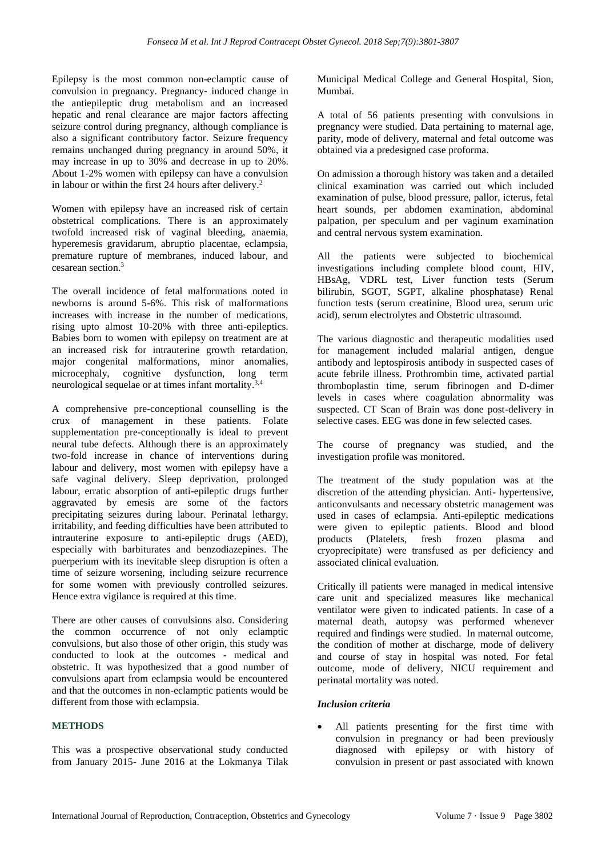Epilepsy is the most common non-eclamptic cause of convulsion in pregnancy. Pregnancy‐ induced change in the antiepileptic drug metabolism and an increased hepatic and renal clearance are major factors affecting seizure control during pregnancy, although compliance is also a significant contributory factor. Seizure frequency remains unchanged during pregnancy in around 50%, it may increase in up to 30% and decrease in up to 20%. About 1-2% women with epilepsy can have a convulsion in labour or within the first 24 hours after delivery.<sup>2</sup>

Women with epilepsy have an increased risk of certain obstetrical complications. There is an approximately twofold increased risk of vaginal bleeding, anaemia, hyperemesis gravidarum, abruptio placentae, eclampsia, premature rupture of membranes, induced labour, and cesarean section. 3

The overall incidence of fetal malformations noted in newborns is around 5-6%. This risk of malformations increases with increase in the number of medications, rising upto almost 10-20% with three anti-epileptics. Babies born to women with epilepsy on treatment are at an increased risk for intrauterine growth retardation, major congenital malformations, minor anomalies, microcephaly, cognitive dysfunction, long term neurological sequelae or at times infant mortality.<sup>3,4</sup>

A comprehensive pre-conceptional counselling is the crux of management in these patients. Folate supplementation pre-conceptionally is ideal to prevent neural tube defects. Although there is an approximately two-fold increase in chance of interventions during labour and delivery, most women with epilepsy have a safe vaginal delivery. Sleep deprivation, prolonged labour, erratic absorption of anti-epileptic drugs further aggravated by emesis are some of the factors precipitating seizures during labour. Perinatal lethargy, irritability, and feeding difficulties have been attributed to intrauterine exposure to anti-epileptic drugs (AED), especially with barbiturates and benzodiazepines. The puerperium with its inevitable sleep disruption is often a time of seizure worsening, including seizure recurrence for some women with previously controlled seizures. Hence extra vigilance is required at this time.

There are other causes of convulsions also. Considering the common occurrence of not only eclamptic convulsions, but also those of other origin, this study was conducted to look at the outcomes - medical and obstetric. It was hypothesized that a good number of convulsions apart from eclampsia would be encountered and that the outcomes in non-eclamptic patients would be different from those with eclampsia.

# **METHODS**

This was a prospective observational study conducted from January 2015- June 2016 at the Lokmanya Tilak Municipal Medical College and General Hospital, Sion, Mumbai.

A total of 56 patients presenting with convulsions in pregnancy were studied. Data pertaining to maternal age, parity, mode of delivery, maternal and fetal outcome was obtained via a predesigned case proforma.

On admission a thorough history was taken and a detailed clinical examination was carried out which included examination of pulse, blood pressure, pallor, icterus, fetal heart sounds, per abdomen examination, abdominal palpation, per speculum and per vaginum examination and central nervous system examination.

All the patients were subjected to biochemical investigations including complete blood count, HIV, HBsAg, VDRL test, Liver function tests (Serum bilirubin, SGOT, SGPT, alkaline phosphatase) Renal function tests (serum creatinine, Blood urea, serum uric acid), serum electrolytes and Obstetric ultrasound.

The various diagnostic and therapeutic modalities used for management included malarial antigen, dengue antibody and leptospirosis antibody in suspected cases of acute febrile illness. Prothrombin time, activated partial thromboplastin time, serum fibrinogen and D-dimer levels in cases where coagulation abnormality was suspected. CT Scan of Brain was done post-delivery in selective cases. EEG was done in few selected cases.

The course of pregnancy was studied, and the investigation profile was monitored.

The treatment of the study population was at the discretion of the attending physician. Anti- hypertensive, anticonvulsants and necessary obstetric management was used in cases of eclampsia. Anti-epileptic medications were given to epileptic patients. Blood and blood products (Platelets, fresh frozen plasma and cryoprecipitate) were transfused as per deficiency and associated clinical evaluation.

Critically ill patients were managed in medical intensive care unit and specialized measures like mechanical ventilator were given to indicated patients. In case of a maternal death, autopsy was performed whenever required and findings were studied. In maternal outcome, the condition of mother at discharge, mode of delivery and course of stay in hospital was noted. For fetal outcome, mode of delivery, NICU requirement and perinatal mortality was noted.

# *Inclusion criteria*

• All patients presenting for the first time with convulsion in pregnancy or had been previously diagnosed with epilepsy or with history of convulsion in present or past associated with known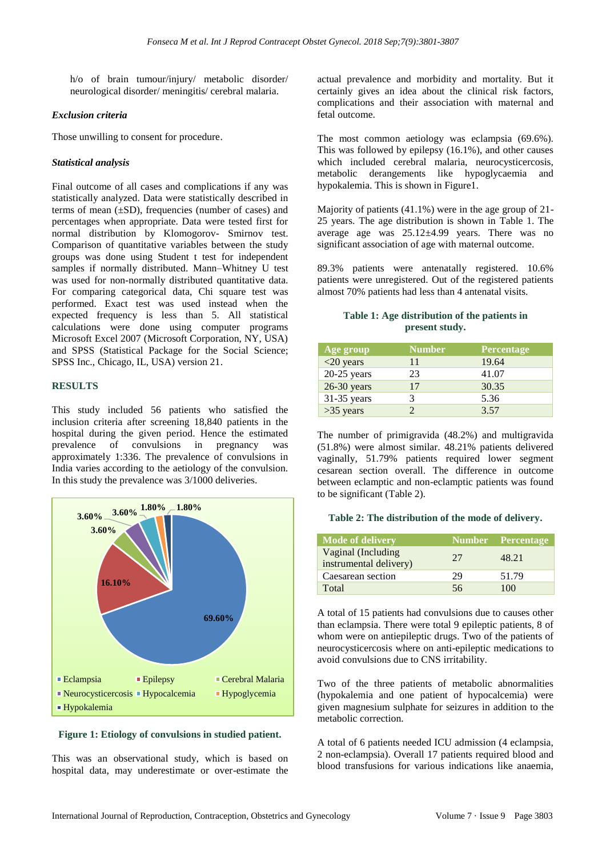h/o of brain tumour/injury/ metabolic disorder/ neurological disorder/ meningitis/ cerebral malaria.

#### *Exclusion criteria*

Those unwilling to consent for procedure.

# *Statistical analysis*

Final outcome of all cases and complications if any was statistically analyzed. Data were statistically described in terms of mean  $(\pm SD)$ , frequencies (number of cases) and percentages when appropriate. Data were tested first for normal distribution by Klomogorov- Smirnov test. Comparison of quantitative variables between the study groups was done using Student t test for independent samples if normally distributed. Mann–Whitney U test was used for non-normally distributed quantitative data. For comparing categorical data, Chi square test was performed. Exact test was used instead when the expected frequency is less than 5. All statistical calculations were done using computer programs Microsoft Excel 2007 (Microsoft Corporation, NY, USA) and SPSS (Statistical Package for the Social Science; SPSS Inc., Chicago, IL, USA) version 21.

# **RESULTS**

This study included 56 patients who satisfied the inclusion criteria after screening 18,840 patients in the hospital during the given period. Hence the estimated prevalence of convulsions in pregnancy was approximately 1:336. The prevalence of convulsions in India varies according to the aetiology of the convulsion. In this study the prevalence was 3/1000 deliveries.



**Figure 1: Etiology of convulsions in studied patient.**

This was an observational study, which is based on hospital data, may underestimate or over-estimate the actual prevalence and morbidity and mortality. But it certainly gives an idea about the clinical risk factors, complications and their association with maternal and fetal outcome.

The most common aetiology was eclampsia (69.6%). This was followed by epilepsy (16.1%), and other causes which included cerebral malaria, neurocysticercosis, metabolic derangements like hypoglycaemia and hypokalemia. This is shown in Figure1.

Majority of patients (41.1%) were in the age group of 21- 25 years. The age distribution is shown in Table 1. The average age was  $25.12 \pm 4.99$  years. There was no significant association of age with maternal outcome.

89.3% patients were antenatally registered. 10.6% patients were unregistered. Out of the registered patients almost 70% patients had less than 4 antenatal visits.

# **Table 1: Age distribution of the patients in present study.**

| Age group     | <b>Number</b> | Percentage |
|---------------|---------------|------------|
| $<$ 20 years  | 11            | 19.64      |
| $20-25$ years | 23            | 41.07      |
| $26-30$ years | 17            | 30.35      |
| 31-35 years   |               | 5.36       |
| $>35$ years   |               | 3.57       |

The number of primigravida (48.2%) and multigravida (51.8%) were almost similar. 48.21% patients delivered vaginally, 51.79% patients required lower segment cesarean section overall. The difference in outcome between eclamptic and non-eclamptic patients was found to be significant (Table 2).

#### **Table 2: The distribution of the mode of delivery.**

| Mode of delivery                             |    | Number Percentage |
|----------------------------------------------|----|-------------------|
| Vaginal (Including<br>instrumental delivery) | 27 | 48.21             |
| Caesarean section                            | 29 | 51.79             |
| Total                                        | 56 | 100               |

A total of 15 patients had convulsions due to causes other than eclampsia. There were total 9 epileptic patients, 8 of whom were on antiepileptic drugs. Two of the patients of neurocysticercosis where on anti-epileptic medications to avoid convulsions due to CNS irritability.

Two of the three patients of metabolic abnormalities (hypokalemia and one patient of hypocalcemia) were given magnesium sulphate for seizures in addition to the metabolic correction.

A total of 6 patients needed ICU admission (4 eclampsia, 2 non-eclampsia). Overall 17 patients required blood and blood transfusions for various indications like anaemia,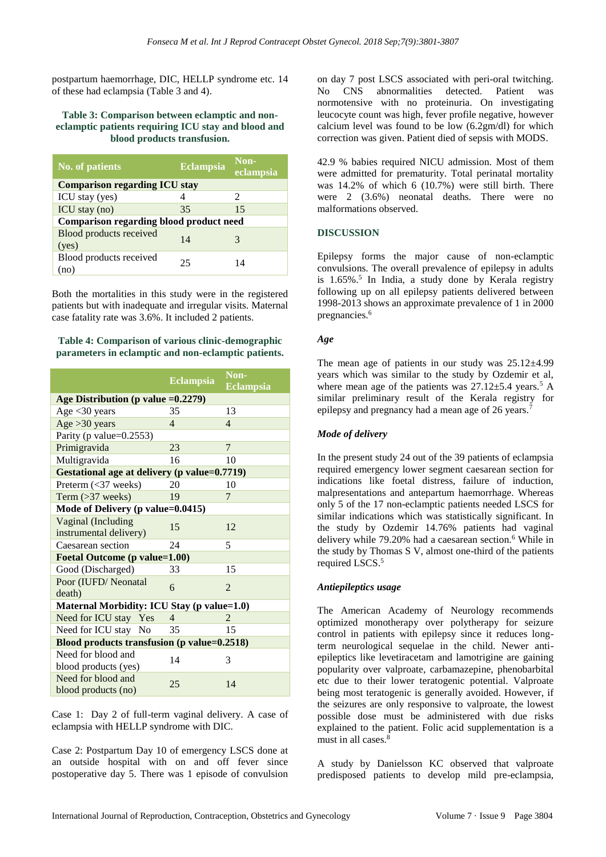postpartum haemorrhage, DIC, HELLP syndrome etc. 14 of these had eclampsia (Table 3 and 4).

# **Table 3: Comparison between eclamptic and noneclamptic patients requiring ICU stay and blood and blood products transfusion.**

| <b>No. of patients</b>                         | <b>Eclampsia</b> | Non-<br>eclampsia           |  |  |
|------------------------------------------------|------------------|-----------------------------|--|--|
| <b>Comparison regarding ICU stay</b>           |                  |                             |  |  |
| ICU stay (yes)                                 |                  | $\mathcal{D}_{\mathcal{L}}$ |  |  |
| $ICU$ stay (no)                                | 35               | 15                          |  |  |
| <b>Comparison regarding blood product need</b> |                  |                             |  |  |
| Blood products received<br>(yes)               | 14               |                             |  |  |
| Blood products received<br>(no)                | 25               | 14                          |  |  |

Both the mortalities in this study were in the registered patients but with inadequate and irregular visits. Maternal case fatality rate was 3.6%. It included 2 patients.

# **Table 4: Comparison of various clinic-demographic parameters in eclamptic and non-eclamptic patients.**

| <b>Eclampsia</b>                             |                | Non-             |  |  |  |
|----------------------------------------------|----------------|------------------|--|--|--|
|                                              |                | <b>Eclampsia</b> |  |  |  |
| Age Distribution (p value $=0.2279$ )        |                |                  |  |  |  |
| Age $<$ 30 years                             | 35             | 13               |  |  |  |
| Age $>30$ years                              | $\overline{4}$ | 4                |  |  |  |
| Parity (p value= $0.2553$ )                  |                |                  |  |  |  |
| Primigravida                                 | 23             | $\overline{7}$   |  |  |  |
| Multigravida                                 | 16             | 10               |  |  |  |
| Gestational age at delivery (p value=0.7719) |                |                  |  |  |  |
| Preterm (<37 weeks)                          | 20             | 10               |  |  |  |
| Term $( > 37$ weeks)                         | 19             | 7                |  |  |  |
| Mode of Delivery (p value=0.0415)            |                |                  |  |  |  |
| Vaginal (Including                           | 15             | 12               |  |  |  |
| instrumental delivery)                       |                |                  |  |  |  |
| Caesarean section                            | 24             | 5                |  |  |  |
| <b>Foetal Outcome (p value=1.00)</b>         |                |                  |  |  |  |
| Good (Discharged)                            | 33             | 15               |  |  |  |
| Poor (IUFD/Neonatal                          | 6              | $\mathfrak{D}$   |  |  |  |
| death)                                       |                |                  |  |  |  |
| Maternal Morbidity: ICU Stay (p value=1.0)   |                |                  |  |  |  |
| Need for ICU stay Yes                        | $\overline{4}$ | $\overline{2}$   |  |  |  |
| Need for ICU stay<br>N <sub>0</sub>          | 35             | 15               |  |  |  |
| Blood products transfusion (p value=0.2518)  |                |                  |  |  |  |
| Need for blood and                           | 14             | 3                |  |  |  |
| blood products (yes)                         |                |                  |  |  |  |
| Need for blood and<br>25                     |                | 14               |  |  |  |
| blood products (no)                          |                |                  |  |  |  |

Case 1: Day 2 of full-term vaginal delivery. A case of eclampsia with HELLP syndrome with DIC.

Case 2: Postpartum Day 10 of emergency LSCS done at an outside hospital with on and off fever since postoperative day 5. There was 1 episode of convulsion on day 7 post LSCS associated with peri-oral twitching. No CNS abnormalities detected. Patient was normotensive with no proteinuria. On investigating leucocyte count was high, fever profile negative, however calcium level was found to be low (6.2gm/dl) for which correction was given. Patient died of sepsis with MODS.

42.9 % babies required NICU admission. Most of them were admitted for prematurity. Total perinatal mortality was 14.2% of which 6 (10.7%) were still birth. There were 2 (3.6%) neonatal deaths. There were no malformations observed.

# **DISCUSSION**

Epilepsy forms the major cause of non-eclamptic convulsions. The overall prevalence of epilepsy in adults is 1.65%. 5 In India, a study done by Kerala registry following up on all epilepsy patients delivered between 1998-2013 shows an approximate prevalence of 1 in 2000 pregnancies.<sup>6</sup>

# *Age*

The mean age of patients in our study was  $25.12 \pm 4.99$ years which was similar to the study by Ozdemir et al, where mean age of the patients was  $27.12 \pm 5.4$  years.<sup>5</sup> A similar preliminary result of the Kerala registry for epilepsy and pregnancy had a mean age of 26 years.<sup>7</sup>

# *Mode of delivery*

In the present study 24 out of the 39 patients of eclampsia required emergency lower segment caesarean section for indications like foetal distress, failure of induction, malpresentations and antepartum haemorrhage. Whereas only 5 of the 17 non-eclamptic patients needed LSCS for similar indications which was statistically significant. In the study by Ozdemir 14.76% patients had vaginal delivery while 79.20% had a caesarean section.<sup>6</sup> While in the study by Thomas S V, almost one-third of the patients required LSCS. 5

# *Antiepileptics usage*

The American Academy of Neurology recommends optimized monotherapy over polytherapy for seizure control in patients with epilepsy since it reduces longterm neurological sequelae in the child. Newer antiepileptics like levetiracetam and lamotrigine are gaining popularity over valproate, carbamazepine, phenobarbital etc due to their lower teratogenic potential. Valproate being most teratogenic is generally avoided. However, if the seizures are only responsive to valproate, the lowest possible dose must be administered with due risks explained to the patient. Folic acid supplementation is a must in all cases.<sup>8</sup>

A study by Danielsson KC observed that valproate predisposed patients to develop mild pre-eclampsia,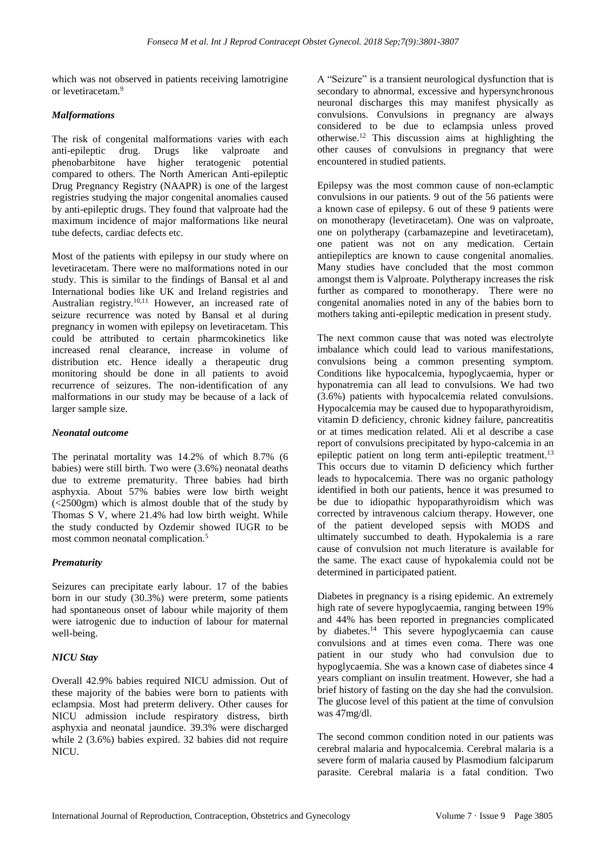which was not observed in patients receiving lamotrigine or levetiracetam.<sup>9</sup>

# *Malformations*

The risk of congenital malformations varies with each anti-epileptic drug. Drugs like valproate and phenobarbitone have higher teratogenic potential compared to others. The North American Anti-epileptic Drug Pregnancy Registry (NAAPR) is one of the largest registries studying the major congenital anomalies caused by anti-epileptic drugs. They found that valproate had the maximum incidence of major malformations like neural tube defects, cardiac defects etc.

Most of the patients with epilepsy in our study where on levetiracetam. There were no malformations noted in our study. This is similar to the findings of Bansal et al and International bodies like UK and Ireland registries and Australian registry.<sup>10,11</sup> However, an increased rate of seizure recurrence was noted by Bansal et al during pregnancy in women with epilepsy on levetiracetam. This could be attributed to certain pharmcokinetics like increased renal clearance, increase in volume of distribution etc. Hence ideally a therapeutic drug monitoring should be done in all patients to avoid recurrence of seizures. The non-identification of any malformations in our study may be because of a lack of larger sample size.

# *Neonatal outcome*

The perinatal mortality was 14.2% of which 8.7% (6 babies) were still birth. Two were (3.6%) neonatal deaths due to extreme prematurity. Three babies had birth asphyxia. About 57% babies were low birth weight  $\left($  <2500gm) which is almost double that of the study by Thomas S V, where 21.4% had low birth weight. While the study conducted by Ozdemir showed IUGR to be most common neonatal complication.<sup>5</sup>

# *Prematurity*

Seizures can precipitate early labour. 17 of the babies born in our study (30.3%) were preterm, some patients had spontaneous onset of labour while majority of them were iatrogenic due to induction of labour for maternal well-being.

# *NICU Stay*

Overall 42.9% babies required NICU admission. Out of these majority of the babies were born to patients with eclampsia. Most had preterm delivery. Other causes for NICU admission include respiratory distress, birth asphyxia and neonatal jaundice. 39.3% were discharged while 2 (3.6%) babies expired. 32 babies did not require NICU.

A "Seizure" is a transient neurological dysfunction that is secondary to abnormal, excessive and hypersynchronous neuronal discharges this may manifest physically as convulsions. Convulsions in pregnancy are always considered to be due to eclampsia unless proved otherwise.<sup>12</sup> This discussion aims at highlighting the other causes of convulsions in pregnancy that were encountered in studied patients.

Epilepsy was the most common cause of non-eclamptic convulsions in our patients. 9 out of the 56 patients were a known case of epilepsy. 6 out of these 9 patients were on monotherapy (levetiracetam). One was on valproate, one on polytherapy (carbamazepine and levetiracetam), one patient was not on any medication. Certain antiepileptics are known to cause congenital anomalies. Many studies have concluded that the most common amongst them is Valproate. Polytherapy increases the risk further as compared to monotherapy. There were no congenital anomalies noted in any of the babies born to mothers taking anti-epileptic medication in present study.

The next common cause that was noted was electrolyte imbalance which could lead to various manifestations, convulsions being a common presenting symptom. Conditions like hypocalcemia, hypoglycaemia, hyper or hyponatremia can all lead to convulsions. We had two (3.6%) patients with hypocalcemia related convulsions. Hypocalcemia may be caused due to hypoparathyroidism, vitamin D deficiency, chronic kidney failure, pancreatitis or at times medication related. Ali et al describe a case report of convulsions precipitated by hypo-calcemia in an epileptic patient on long term anti-epileptic treatment.<sup>13</sup> This occurs due to vitamin D deficiency which further leads to hypocalcemia. There was no organic pathology identified in both our patients, hence it was presumed to be due to idiopathic hypoparathyroidism which was corrected by intravenous calcium therapy. However, one of the patient developed sepsis with MODS and ultimately succumbed to death. Hypokalemia is a rare cause of convulsion not much literature is available for the same. The exact cause of hypokalemia could not be determined in participated patient.

Diabetes in pregnancy is a rising epidemic. An extremely high rate of severe hypoglycaemia, ranging between 19% and 44% has been reported in pregnancies complicated by diabetes. <sup>14</sup> This severe hypoglycaemia can cause convulsions and at times even coma. There was one patient in our study who had convulsion due to hypoglycaemia. She was a known case of diabetes since 4 years compliant on insulin treatment. However, she had a brief history of fasting on the day she had the convulsion. The glucose level of this patient at the time of convulsion was 47mg/dl.

The second common condition noted in our patients was cerebral malaria and hypocalcemia. Cerebral malaria is a severe form of malaria caused by Plasmodium falciparum parasite. Cerebral malaria is a fatal condition. Two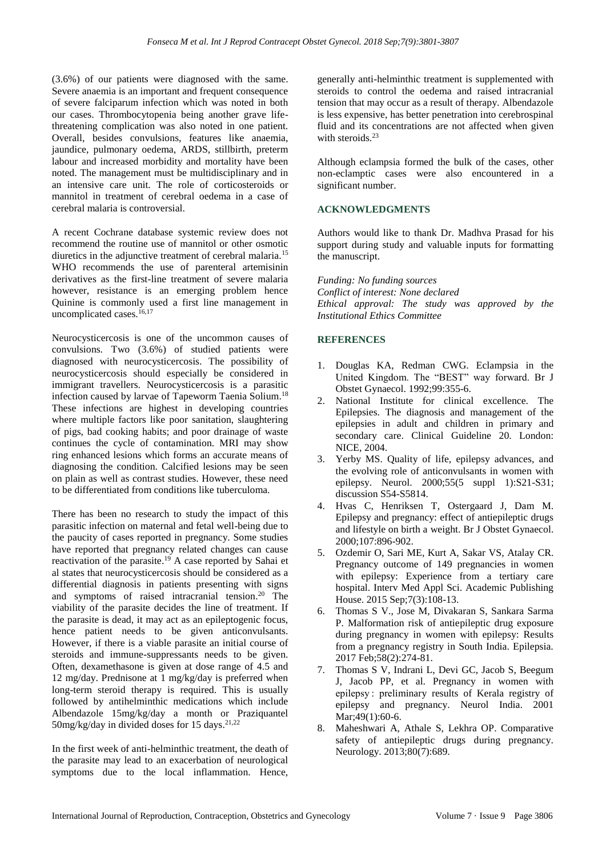(3.6%) of our patients were diagnosed with the same. Severe anaemia is an important and frequent consequence of severe falciparum infection which was noted in both our cases. Thrombocytopenia being another grave lifethreatening complication was also noted in one patient. Overall, besides convulsions, features like anaemia, jaundice, pulmonary oedema, ARDS, stillbirth, preterm labour and increased morbidity and mortality have been noted. The management must be multidisciplinary and in an intensive care unit. The role of corticosteroids or mannitol in treatment of cerebral oedema in a case of cerebral malaria is controversial.

A recent Cochrane database systemic review does not recommend the routine use of mannitol or other osmotic diuretics in the adjunctive treatment of cerebral malaria.<sup>15</sup> WHO recommends the use of parenteral artemisinin derivatives as the first-line treatment of severe malaria however, resistance is an emerging problem hence Quinine is commonly used a first line management in uncomplicated cases.<sup>16,17</sup>

Neurocysticercosis is one of the uncommon causes of convulsions. Two (3.6%) of studied patients were diagnosed with neurocysticercosis. The possibility of neurocysticercosis should especially be considered in immigrant travellers. Neurocysticercosis is a parasitic infection caused by larvae of Tapeworm Taenia Solium. 18 These infections are highest in developing countries where multiple factors like poor sanitation, slaughtering of pigs, bad cooking habits; and poor drainage of waste continues the cycle of contamination. MRI may show ring enhanced lesions which forms an accurate means of diagnosing the condition. Calcified lesions may be seen on plain as well as contrast studies. However, these need to be differentiated from conditions like tuberculoma.

There has been no research to study the impact of this parasitic infection on maternal and fetal well-being due to the paucity of cases reported in pregnancy. Some studies have reported that pregnancy related changes can cause reactivation of the parasite.<sup>19</sup> A case reported by Sahai et al states that neurocysticercosis should be considered as a differential diagnosis in patients presenting with signs and symptoms of raised intracranial tension. <sup>20</sup> The viability of the parasite decides the line of treatment. If the parasite is dead, it may act as an epileptogenic focus, hence patient needs to be given anticonvulsants. However, if there is a viable parasite an initial course of steroids and immune-suppressants needs to be given. Often, dexamethasone is given at dose range of 4.5 and 12 mg/day. Prednisone at 1 mg/kg/day is preferred when long-term steroid therapy is required. This is usually followed by antihelminthic medications which include Albendazole 15mg/kg/day a month or Praziquantel 50mg/kg/day in divided doses for 15 days. 21,22

In the first week of anti-helminthic treatment, the death of the parasite may lead to an exacerbation of neurological symptoms due to the local inflammation. Hence, generally anti-helminthic treatment is supplemented with steroids to control the oedema and raised intracranial tension that may occur as a result of therapy. Albendazole is less expensive, has better penetration into cerebrospinal fluid and its concentrations are not affected when given with steroids.<sup>23</sup>

Although eclampsia formed the bulk of the cases, other non-eclamptic cases were also encountered in a significant number.

# **ACKNOWLEDGMENTS**

Authors would like to thank Dr. Madhva Prasad for his support during study and valuable inputs for formatting the manuscript.

*Funding: No funding sources Conflict of interest: None declared Ethical approval: The study was approved by the Institutional Ethics Committee*

#### **REFERENCES**

- 1. Douglas KA, Redman CWG. Eclampsia in the United Kingdom. The "BEST" way forward. Br J Obstet Gynaecol. 1992;99:355-6.
- 2. National Institute for clinical excellence. The Epilepsies. The diagnosis and management of the epilepsies in adult and children in primary and secondary care. Clinical Guideline 20. London: NICE, 2004.
- 3. Yerby MS. Quality of life, epilepsy advances, and the evolving role of anticonvulsants in women with epilepsy. Neurol. 2000;55(5 suppl 1):S21-S31; discussion S54-S5814.
- 4. Hvas C, Henriksen T, Ostergaard J, Dam M. Epilepsy and pregnancy: effect of antiepileptic drugs and lifestyle on birth a weight. Br J Obstet Gynaecol. 2000;107:896-902.
- 5. Ozdemir O, Sari ME, Kurt A, Sakar VS, Atalay CR. Pregnancy outcome of 149 pregnancies in women with epilepsy: Experience from a tertiary care hospital. Interv Med Appl Sci. Academic Publishing House. 2015 Sep;7(3):108-13.
- 6. Thomas S V., Jose M, Divakaran S, Sankara Sarma P. Malformation risk of antiepileptic drug exposure during pregnancy in women with epilepsy: Results from a pregnancy registry in South India. Epilepsia. 2017 Feb;58(2):274-81.
- 7. Thomas S V, Indrani L, Devi GC, Jacob S, Beegum J, Jacob PP, et al. Pregnancy in women with epilepsy : preliminary results of Kerala registry of epilepsy and pregnancy. Neurol India. 2001 Mar; 49(1): 60-6.
- 8. Maheshwari A, Athale S, Lekhra OP. Comparative safety of antiepileptic drugs during pregnancy. Neurology. 2013;80(7):689.